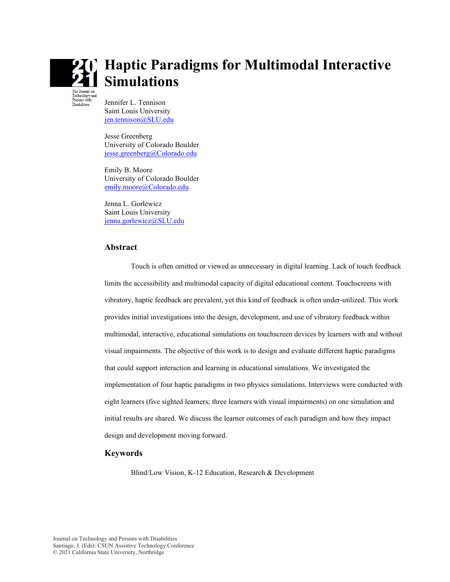

# **Haptic Paradigms for Multimodal Interactive Simulations**

Jennifer L. Tennison Saint Louis University [jen.tennison@SLU.edu](mailto:jen.tennison@SLU.edu)

Jesse Greenberg University of Colorado Boulder [jesse.greenberg@Colorado.edu](mailto:jesse.greenberg@Colorado.edu)

Emily B. Moore University of Colorado Boulder [emily.moore@Colorado.edu](mailto:emily.moore@Colorado.edu)

Jenna L. Gorlewicz Saint Louis University [jenna.gorlewicz@SLU.edu](mailto:jenna.gorlewicz@SLU.edu)

#### **Abstract**

Touch is often omitted or viewed as unnecessary in digital learning. Lack of touch feedback limits the accessibility and multimodal capacity of digital educational content. Touchscreens with vibratory, haptic feedback are prevalent, yet this kind of feedback is often under-utilized. This work provides initial investigations into the design, development, and use of vibratory feedback within multimodal, interactive, educational simulations on touchscreen devices by learners with and without visual impairments. The objective of this work is to design and evaluate different haptic paradigms that could support interaction and learning in educational simulations. We investigated the implementation of four haptic paradigms in two physics simulations. Interviews were conducted with eight learners (five sighted learners; three learners with visual impairments) on one simulation and initial results are shared. We discuss the learner outcomes of each paradigm and how they impact design and development moving forward.

#### **Keywords**

Blind/Low Vision, K-12 Education, Research & Development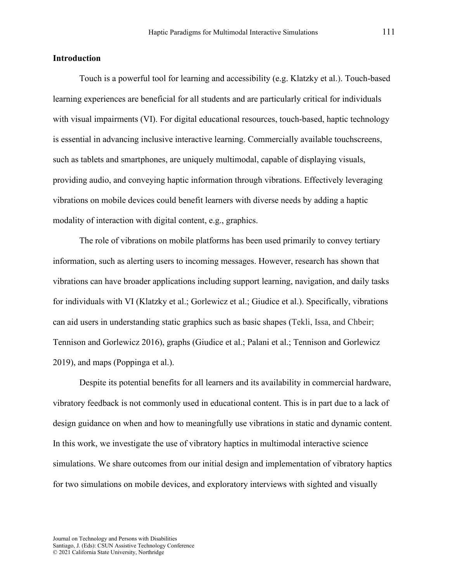#### **Introduction**

Touch is a powerful tool for learning and accessibility (e.g. Klatzky et al.). Touch-based learning experiences are beneficial for all students and are particularly critical for individuals with visual impairments (VI). For digital educational resources, touch-based, haptic technology is essential in advancing inclusive interactive learning. Commercially available touchscreens, such as tablets and smartphones, are uniquely multimodal, capable of displaying visuals, providing audio, and conveying haptic information through vibrations. Effectively leveraging vibrations on mobile devices could benefit learners with diverse needs by adding a haptic modality of interaction with digital content, e.g., graphics.

The role of vibrations on mobile platforms has been used primarily to convey tertiary information, such as alerting users to incoming messages. However, research has shown that vibrations can have broader applications including support learning, navigation, and daily tasks for individuals with VI (Klatzky et al.; Gorlewicz et al.; Giudice et al.). Specifically, vibrations can aid users in understanding static graphics such as basic shapes (Tekli, Issa, and Chbeir; Tennison and Gorlewicz 2016), graphs (Giudice et al.; Palani et al.; Tennison and Gorlewicz 2019), and maps (Poppinga et al.).

Despite its potential benefits for all learners and its availability in commercial hardware, vibratory feedback is not commonly used in educational content. This is in part due to a lack of design guidance on when and how to meaningfully use vibrations in static and dynamic content. In this work, we investigate the use of vibratory haptics in multimodal interactive science simulations. We share outcomes from our initial design and implementation of vibratory haptics for two simulations on mobile devices, and exploratory interviews with sighted and visually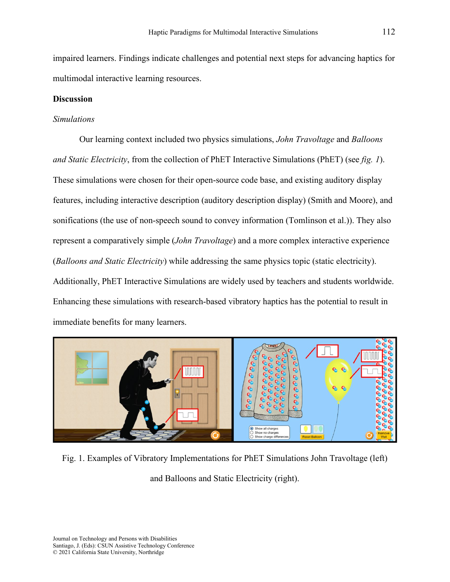impaired learners. Findings indicate challenges and potential next steps for advancing haptics for multimodal interactive learning resources.

### **Discussion**

#### *Simulations*

Our learning context included two physics simulations, *John Travoltage* and *Balloons and Static Electricity*, from the collection of PhET Interactive Simulations (PhET) (see *fig. 1*). These simulations were chosen for their open-source code base, and existing auditory display features, including interactive description (auditory description display) (Smith and Moore), and sonifications (the use of non-speech sound to convey information (Tomlinson et al.)). They also represent a comparatively simple (*John Travoltage*) and a more complex interactive experience (*Balloons and Static Electricity*) while addressing the same physics topic (static electricity). Additionally, PhET Interactive Simulations are widely used by teachers and students worldwide. Enhancing these simulations with research-based vibratory haptics has the potential to result in immediate benefits for many learners.



Fig. 1. Examples of Vibratory Implementations for PhET Simulations John Travoltage (left)

and Balloons and Static Electricity (right).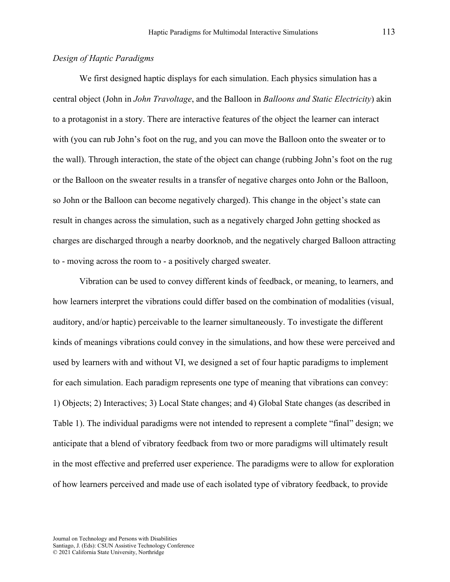## *Design of Haptic Paradigms*

We first designed haptic displays for each simulation. Each physics simulation has a central object (John in *John Travoltage*, and the Balloon in *Balloons and Static Electricity*) akin to a protagonist in a story. There are interactive features of the object the learner can interact with (you can rub John's foot on the rug, and you can move the Balloon onto the sweater or to the wall). Through interaction, the state of the object can change (rubbing John's foot on the rug or the Balloon on the sweater results in a transfer of negative charges onto John or the Balloon, so John or the Balloon can become negatively charged). This change in the object's state can result in changes across the simulation, such as a negatively charged John getting shocked as charges are discharged through a nearby doorknob, and the negatively charged Balloon attracting to - moving across the room to - a positively charged sweater.

Vibration can be used to convey different kinds of feedback, or meaning, to learners, and how learners interpret the vibrations could differ based on the combination of modalities (visual, auditory, and/or haptic) perceivable to the learner simultaneously. To investigate the different kinds of meanings vibrations could convey in the simulations, and how these were perceived and used by learners with and without VI, we designed a set of four haptic paradigms to implement for each simulation. Each paradigm represents one type of meaning that vibrations can convey: 1) Objects; 2) Interactives; 3) Local State changes; and 4) Global State changes (as described in Table 1). The individual paradigms were not intended to represent a complete "final" design; we anticipate that a blend of vibratory feedback from two or more paradigms will ultimately result in the most effective and preferred user experience. The paradigms were to allow for exploration of how learners perceived and made use of each isolated type of vibratory feedback, to provide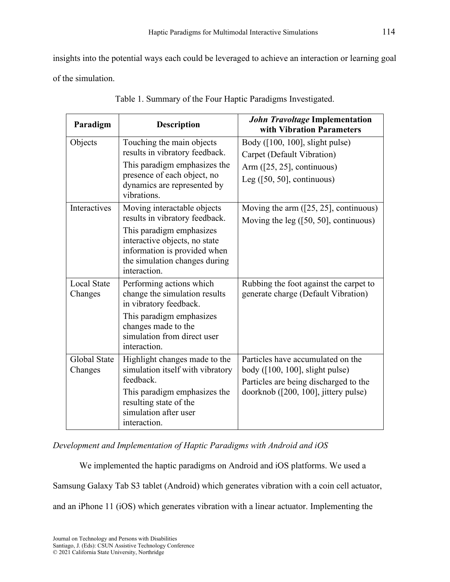insights into the potential ways each could be leveraged to achieve an interaction or learning goal of the simulation.

| Paradigm                      | <b>Description</b>                                                                                                                                                                                          | <b>John Travoltage Implementation</b><br>with Vibration Parameters                                                                                      |  |
|-------------------------------|-------------------------------------------------------------------------------------------------------------------------------------------------------------------------------------------------------------|---------------------------------------------------------------------------------------------------------------------------------------------------------|--|
| Objects                       | Touching the main objects<br>results in vibratory feedback.<br>This paradigm emphasizes the<br>presence of each object, no<br>dynamics are represented by<br>vibrations.                                    | Body $(100, 100]$ , slight pulse)<br>Carpet (Default Vibration)<br>Arm $(25, 25)$ , continuous)<br>Leg $(50, 50]$ , continuous)                         |  |
| Interactives                  | Moving interactable objects<br>results in vibratory feedback.<br>This paradigm emphasizes<br>interactive objects, no state<br>information is provided when<br>the simulation changes during<br>interaction. | Moving the arm $(25, 25)$ , continuous)<br>Moving the leg $(50, 50)$ , continuous)                                                                      |  |
| <b>Local State</b><br>Changes | Performing actions which<br>change the simulation results<br>in vibratory feedback.<br>This paradigm emphasizes<br>changes made to the<br>simulation from direct user<br>interaction.                       | Rubbing the foot against the carpet to<br>generate charge (Default Vibration)                                                                           |  |
| Global State<br>Changes       | Highlight changes made to the<br>simulation itself with vibratory<br>feedback.<br>This paradigm emphasizes the<br>resulting state of the<br>simulation after user<br>interaction.                           | Particles have accumulated on the<br>body $(100, 100]$ , slight pulse)<br>Particles are being discharged to the<br>doorknob ([200, 100], jittery pulse) |  |

Table 1. Summary of the Four Haptic Paradigms Investigated.

*Development and Implementation of Haptic Paradigms with Android and iOS*

We implemented the haptic paradigms on Android and iOS platforms. We used a Samsung Galaxy Tab S3 tablet (Android) which generates vibration with a coin cell actuator, and an iPhone 11 (iOS) which generates vibration with a linear actuator. Implementing the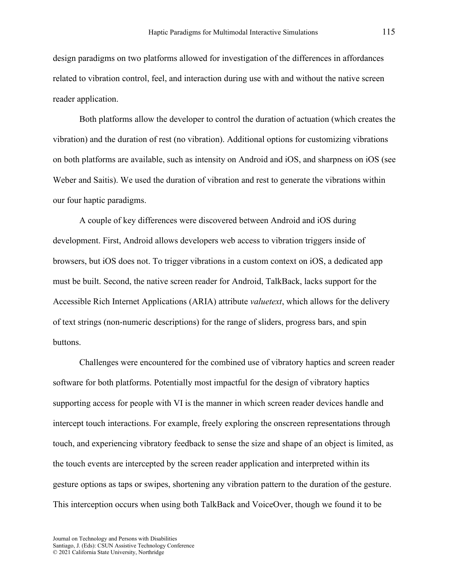design paradigms on two platforms allowed for investigation of the differences in affordances related to vibration control, feel, and interaction during use with and without the native screen reader application.

Both platforms allow the developer to control the duration of actuation (which creates the vibration) and the duration of rest (no vibration). Additional options for customizing vibrations on both platforms are available, such as intensity on Android and iOS, and sharpness on iOS (see Weber and Saitis). We used the duration of vibration and rest to generate the vibrations within our four haptic paradigms.

A couple of key differences were discovered between Android and iOS during development. First, Android allows developers web access to vibration triggers inside of browsers, but iOS does not. To trigger vibrations in a custom context on iOS, a dedicated app must be built. Second, the native screen reader for Android, TalkBack, lacks support for the Accessible Rich Internet Applications (ARIA) attribute *valuetext*, which allows for the delivery of text strings (non-numeric descriptions) for the range of sliders, progress bars, and spin buttons.

Challenges were encountered for the combined use of vibratory haptics and screen reader software for both platforms. Potentially most impactful for the design of vibratory haptics supporting access for people with VI is the manner in which screen reader devices handle and intercept touch interactions. For example, freely exploring the onscreen representations through touch, and experiencing vibratory feedback to sense the size and shape of an object is limited, as the touch events are intercepted by the screen reader application and interpreted within its gesture options as taps or swipes, shortening any vibration pattern to the duration of the gesture. This interception occurs when using both TalkBack and VoiceOver, though we found it to be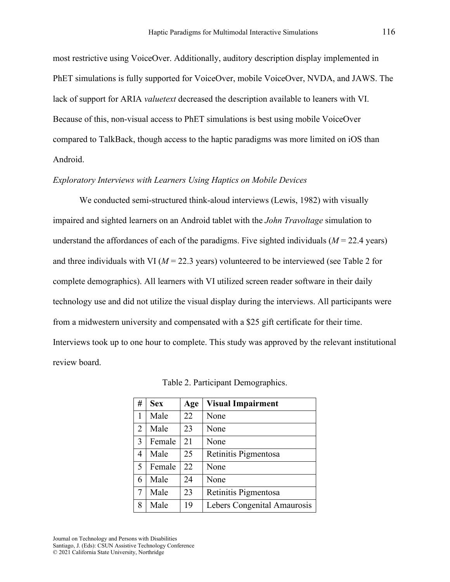most restrictive using VoiceOver. Additionally, auditory description display implemented in PhET simulations is fully supported for VoiceOver, mobile VoiceOver, NVDA, and JAWS. The lack of support for ARIA *valuetext* decreased the description available to leaners with VI. Because of this, non-visual access to PhET simulations is best using mobile VoiceOver compared to TalkBack, though access to the haptic paradigms was more limited on iOS than Android.

#### *Exploratory Interviews with Learners Using Haptics on Mobile Devices*

We conducted semi-structured think-aloud interviews (Lewis, 1982) with visually impaired and sighted learners on an Android tablet with the *John Travoltage* simulation to understand the affordances of each of the paradigms. Five sighted individuals  $(M = 22.4$  years) and three individuals with VI ( $M = 22.3$  years) volunteered to be interviewed (see Table 2 for complete demographics). All learners with VI utilized screen reader software in their daily technology use and did not utilize the visual display during the interviews. All participants were from a midwestern university and compensated with a \$25 gift certificate for their time. Interviews took up to one hour to complete. This study was approved by the relevant institutional review board.

| #              | <b>Sex</b> | Age | <b>Visual Impairment</b>    |
|----------------|------------|-----|-----------------------------|
| 1              | Male       | 22  | None                        |
| $\overline{2}$ | Male       | 23  | None                        |
| 3              | Female     | 21  | None                        |
| 4              | Male       | 25  | Retinitis Pigmentosa        |
| 5              | Female     | 22  | None                        |
| 6              | Male       | 24  | None                        |
| $\overline{7}$ | Male       | 23  | Retinitis Pigmentosa        |
| 8              | Male       | 19  | Lebers Congenital Amaurosis |

Table 2. Participant Demographics.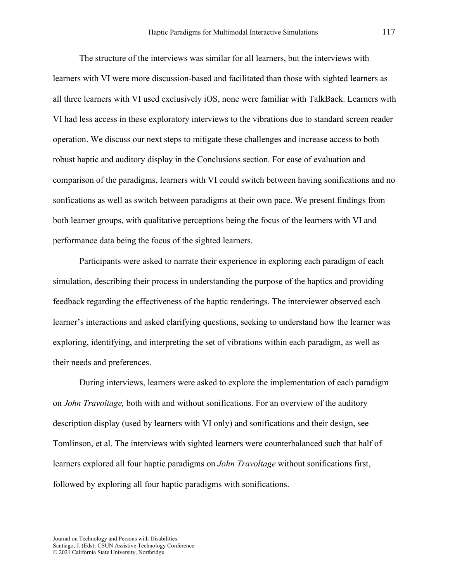The structure of the interviews was similar for all learners, but the interviews with learners with VI were more discussion-based and facilitated than those with sighted learners as all three learners with VI used exclusively iOS, none were familiar with TalkBack. Learners with VI had less access in these exploratory interviews to the vibrations due to standard screen reader operation. We discuss our next steps to mitigate these challenges and increase access to both robust haptic and auditory display in the Conclusions section. For ease of evaluation and comparison of the paradigms, learners with VI could switch between having sonifications and no sonfications as well as switch between paradigms at their own pace. We present findings from both learner groups, with qualitative perceptions being the focus of the learners with VI and performance data being the focus of the sighted learners.

Participants were asked to narrate their experience in exploring each paradigm of each simulation, describing their process in understanding the purpose of the haptics and providing feedback regarding the effectiveness of the haptic renderings. The interviewer observed each learner's interactions and asked clarifying questions, seeking to understand how the learner was exploring, identifying, and interpreting the set of vibrations within each paradigm, as well as their needs and preferences.

During interviews, learners were asked to explore the implementation of each paradigm on *John Travoltage,* both with and without sonifications. For an overview of the auditory description display (used by learners with VI only) and sonifications and their design, see Tomlinson, et al. The interviews with sighted learners were counterbalanced such that half of learners explored all four haptic paradigms on *John Travoltage* without sonifications first, followed by exploring all four haptic paradigms with sonifications.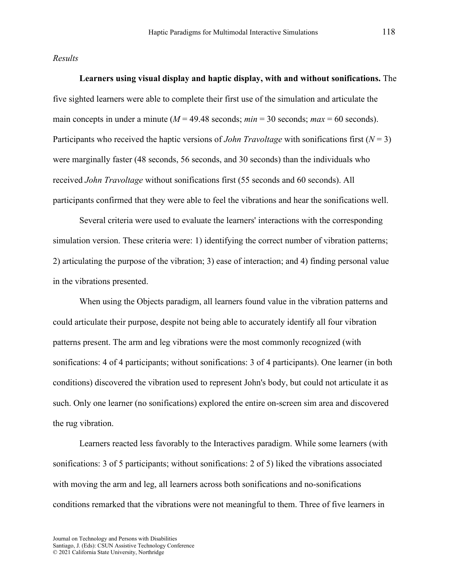#### *Results*

**Learners using visual display and haptic display, with and without sonifications.** The five sighted learners were able to complete their first use of the simulation and articulate the main concepts in under a minute ( $M = 49.48$  seconds;  $min = 30$  seconds;  $max = 60$  seconds). Participants who received the haptic versions of *John Travoltage* with sonifications first (*N* = 3) were marginally faster (48 seconds, 56 seconds, and 30 seconds) than the individuals who received *John Travoltage* without sonifications first (55 seconds and 60 seconds). All participants confirmed that they were able to feel the vibrations and hear the sonifications well.

Several criteria were used to evaluate the learners' interactions with the corresponding simulation version. These criteria were: 1) identifying the correct number of vibration patterns; 2) articulating the purpose of the vibration; 3) ease of interaction; and 4) finding personal value in the vibrations presented.

When using the Objects paradigm, all learners found value in the vibration patterns and could articulate their purpose, despite not being able to accurately identify all four vibration patterns present. The arm and leg vibrations were the most commonly recognized (with sonifications: 4 of 4 participants; without sonifications: 3 of 4 participants). One learner (in both conditions) discovered the vibration used to represent John's body, but could not articulate it as such. Only one learner (no sonifications) explored the entire on-screen sim area and discovered the rug vibration.

Learners reacted less favorably to the Interactives paradigm. While some learners (with sonifications: 3 of 5 participants; without sonifications: 2 of 5) liked the vibrations associated with moving the arm and leg, all learners across both sonifications and no-sonifications conditions remarked that the vibrations were not meaningful to them. Three of five learners in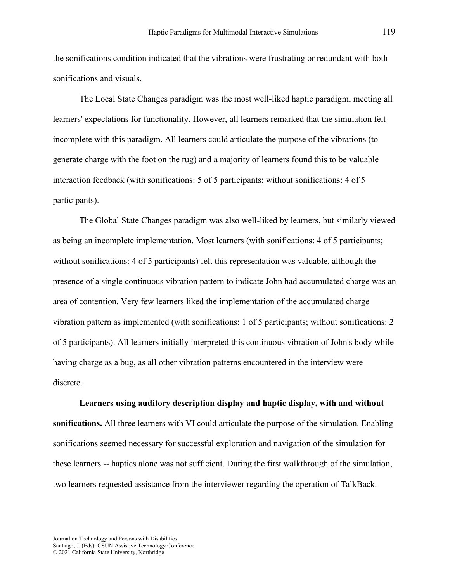the sonifications condition indicated that the vibrations were frustrating or redundant with both sonifications and visuals.

The Local State Changes paradigm was the most well-liked haptic paradigm, meeting all learners' expectations for functionality. However, all learners remarked that the simulation felt incomplete with this paradigm. All learners could articulate the purpose of the vibrations (to generate charge with the foot on the rug) and a majority of learners found this to be valuable interaction feedback (with sonifications: 5 of 5 participants; without sonifications: 4 of 5 participants).

The Global State Changes paradigm was also well-liked by learners, but similarly viewed as being an incomplete implementation. Most learners (with sonifications: 4 of 5 participants; without sonifications: 4 of 5 participants) felt this representation was valuable, although the presence of a single continuous vibration pattern to indicate John had accumulated charge was an area of contention. Very few learners liked the implementation of the accumulated charge vibration pattern as implemented (with sonifications: 1 of 5 participants; without sonifications: 2 of 5 participants). All learners initially interpreted this continuous vibration of John's body while having charge as a bug, as all other vibration patterns encountered in the interview were discrete.

#### **Learners using auditory description display and haptic display, with and without**

**sonifications.** All three learners with VI could articulate the purpose of the simulation. Enabling sonifications seemed necessary for successful exploration and navigation of the simulation for these learners -- haptics alone was not sufficient. During the first walkthrough of the simulation, two learners requested assistance from the interviewer regarding the operation of TalkBack.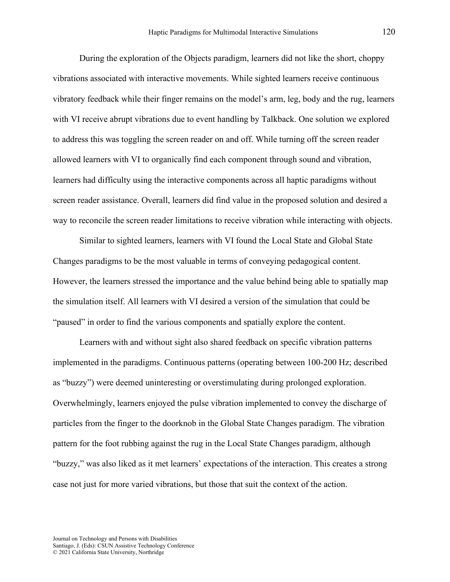During the exploration of the Objects paradigm, learners did not like the short, choppy vibrations associated with interactive movements. While sighted learners receive continuous vibratory feedback while their finger remains on the model's arm, leg, body and the rug, learners with VI receive abrupt vibrations due to event handling by Talkback. One solution we explored to address this was toggling the screen reader on and off. While turning off the screen reader allowed learners with VI to organically find each component through sound and vibration, learners had difficulty using the interactive components across all haptic paradigms without screen reader assistance. Overall, learners did find value in the proposed solution and desired a way to reconcile the screen reader limitations to receive vibration while interacting with objects.

Similar to sighted learners, learners with VI found the Local State and Global State Changes paradigms to be the most valuable in terms of conveying pedagogical content. However, the learners stressed the importance and the value behind being able to spatially map the simulation itself. All learners with VI desired a version of the simulation that could be "paused" in order to find the various components and spatially explore the content.

Learners with and without sight also shared feedback on specific vibration patterns implemented in the paradigms. Continuous patterns (operating between 100-200 Hz; described as "buzzy") were deemed uninteresting or overstimulating during prolonged exploration. Overwhelmingly, learners enjoyed the pulse vibration implemented to convey the discharge of particles from the finger to the doorknob in the Global State Changes paradigm. The vibration pattern for the foot rubbing against the rug in the Local State Changes paradigm, although "buzzy," was also liked as it met learners' expectations of the interaction. This creates a strong case not just for more varied vibrations, but those that suit the context of the action.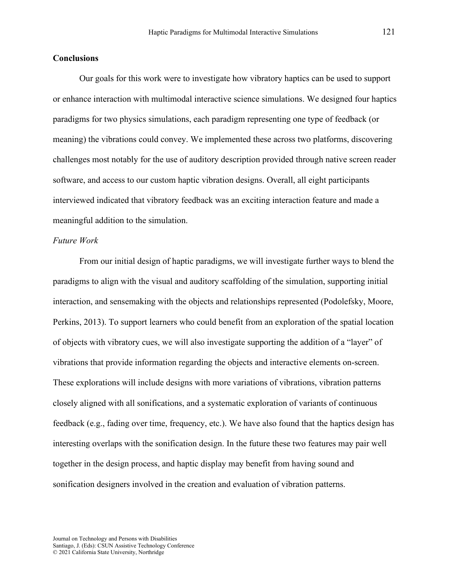#### **Conclusions**

Our goals for this work were to investigate how vibratory haptics can be used to support or enhance interaction with multimodal interactive science simulations. We designed four haptics paradigms for two physics simulations, each paradigm representing one type of feedback (or meaning) the vibrations could convey. We implemented these across two platforms, discovering challenges most notably for the use of auditory description provided through native screen reader software, and access to our custom haptic vibration designs. Overall, all eight participants interviewed indicated that vibratory feedback was an exciting interaction feature and made a meaningful addition to the simulation.

#### *Future Work*

From our initial design of haptic paradigms, we will investigate further ways to blend the paradigms to align with the visual and auditory scaffolding of the simulation, supporting initial interaction, and sensemaking with the objects and relationships represented (Podolefsky, Moore, Perkins, 2013). To support learners who could benefit from an exploration of the spatial location of objects with vibratory cues, we will also investigate supporting the addition of a "layer" of vibrations that provide information regarding the objects and interactive elements on-screen. These explorations will include designs with more variations of vibrations, vibration patterns closely aligned with all sonifications, and a systematic exploration of variants of continuous feedback (e.g., fading over time, frequency, etc.). We have also found that the haptics design has interesting overlaps with the sonification design. In the future these two features may pair well together in the design process, and haptic display may benefit from having sound and sonification designers involved in the creation and evaluation of vibration patterns.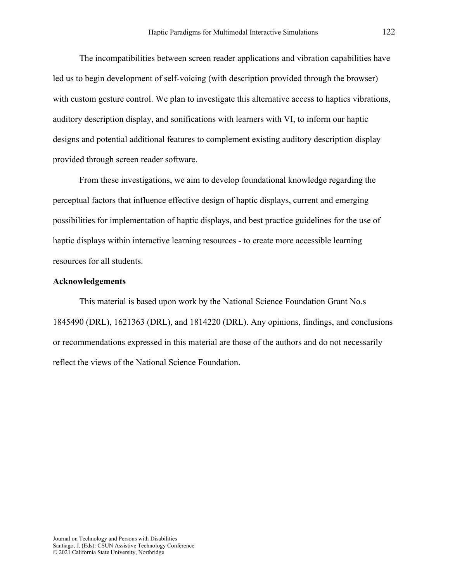The incompatibilities between screen reader applications and vibration capabilities have led us to begin development of self-voicing (with description provided through the browser) with custom gesture control. We plan to investigate this alternative access to haptics vibrations, auditory description display, and sonifications with learners with VI, to inform our haptic designs and potential additional features to complement existing auditory description display provided through screen reader software.

From these investigations, we aim to develop foundational knowledge regarding the perceptual factors that influence effective design of haptic displays, current and emerging possibilities for implementation of haptic displays, and best practice guidelines for the use of haptic displays within interactive learning resources - to create more accessible learning resources for all students.

#### **Acknowledgements**

This material is based upon work by the National Science Foundation Grant No.s 1845490 (DRL), 1621363 (DRL), and 1814220 (DRL). Any opinions, findings, and conclusions or recommendations expressed in this material are those of the authors and do not necessarily reflect the views of the National Science Foundation.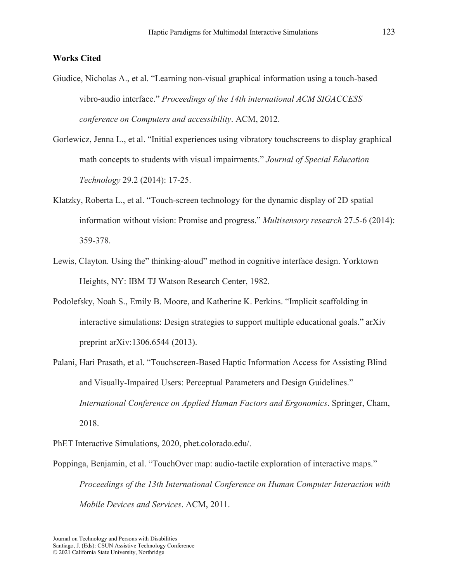#### **Works Cited**

- Giudice, Nicholas A., et al. "Learning non-visual graphical information using a touch-based vibro-audio interface." *Proceedings of the 14th international ACM SIGACCESS conference on Computers and accessibility*. ACM, 2012.
- Gorlewicz, Jenna L., et al. "Initial experiences using vibratory touchscreens to display graphical math concepts to students with visual impairments." *Journal of Special Education Technology* 29.2 (2014): 17-25.
- Klatzky, Roberta L., et al. "Touch-screen technology for the dynamic display of 2D spatial information without vision: Promise and progress." *Multisensory research* 27.5-6 (2014): 359-378.
- Lewis, Clayton. Using the" thinking-aloud" method in cognitive interface design. Yorktown Heights, NY: IBM TJ Watson Research Center, 1982.
- Podolefsky, Noah S., Emily B. Moore, and Katherine K. Perkins. "Implicit scaffolding in interactive simulations: Design strategies to support multiple educational goals." arXiv preprint arXiv:1306.6544 (2013).
- Palani, Hari Prasath, et al. "Touchscreen-Based Haptic Information Access for Assisting Blind and Visually-Impaired Users: Perceptual Parameters and Design Guidelines." *International Conference on Applied Human Factors and Ergonomics*. Springer, Cham, 2018.

PhET Interactive Simulations, 2020, phet.colorado.edu/.

Poppinga, Benjamin, et al. "TouchOver map: audio-tactile exploration of interactive maps." *Proceedings of the 13th International Conference on Human Computer Interaction with Mobile Devices and Services*. ACM, 2011.